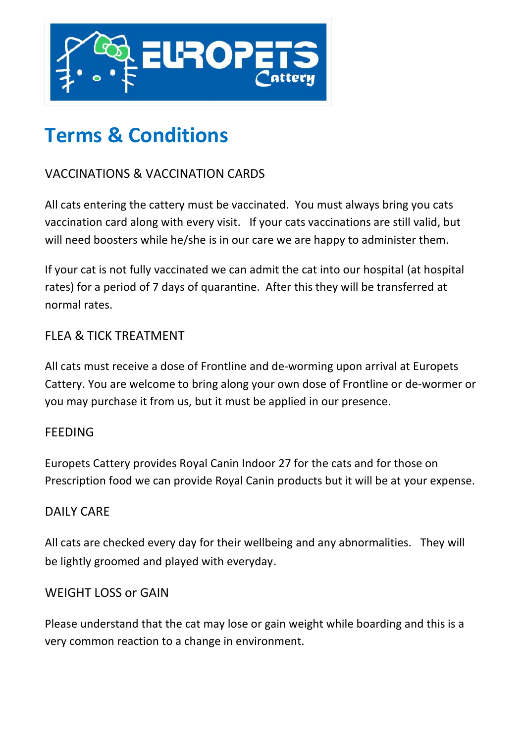

# **Terms & Conditions**

## VACCINATIONS & VACCINATION CARDS

All cats entering the cattery must be vaccinated. You must always bring you cats vaccination card along with every visit. If your cats vaccinations are still valid, but will need boosters while he/she is in our care we are happy to administer them.

If your cat is not fully vaccinated we can admit the cat into our hospital (at hospital rates) for a period of 7 days of quarantine. After this they will be transferred at normal rates.

## FLEA & TICK TREATMENT

All cats must receive a dose of Frontline and de-worming upon arrival at Europets Cattery. You are welcome to bring along your own dose of Frontline or de-wormer or you may purchase it from us, but it must be applied in our presence.

#### **FEEDING**

Europets Cattery provides Royal Canin Indoor 27 for the cats and for those on Prescription food we can provide Royal Canin products but it will be at your expense.

#### DAILY CARE

All cats are checked every day for their wellbeing and any abnormalities. They will be lightly groomed and played with everyday.

#### WEIGHT LOSS or GAIN

Please understand that the cat may lose or gain weight while boarding and this is a very common reaction to a change in environment.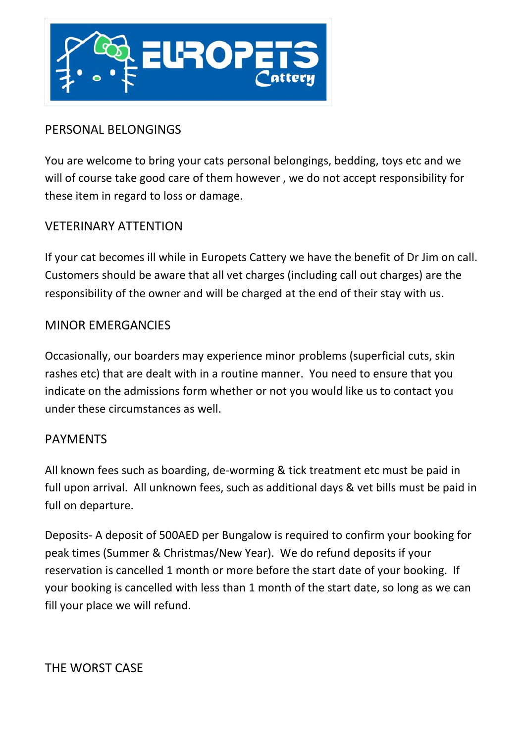

## PERSONAL BELONGINGS

You are welcome to bring your cats personal belongings, bedding, toys etc and we will of course take good care of them however , we do not accept responsibility for these item in regard to loss or damage.

#### VETERINARY ATTENTION

If your cat becomes ill while in Europets Cattery we have the benefit of Dr Jim on call. Customers should be aware that all vet charges (including call out charges) are the responsibility of the owner and will be charged at the end of their stay with us.

#### MINOR EMERGANCIES

Occasionally, our boarders may experience minor problems (superficial cuts, skin rashes etc) that are dealt with in a routine manner. You need to ensure that you indicate on the admissions form whether or not you would like us to contact you under these circumstances as well.

#### PAYMENTS

All known fees such as boarding, de-worming & tick treatment etc must be paid in full upon arrival. All unknown fees, such as additional days & vet bills must be paid in full on departure.

Deposits- A deposit of 500AED per Bungalow is required to confirm your booking for peak times (Summer & Christmas/New Year). We do refund deposits if your reservation is cancelled 1 month or more before the start date of your booking. If your booking is cancelled with less than 1 month of the start date, so long as we can fill your place we will refund.

THE WORST CASE